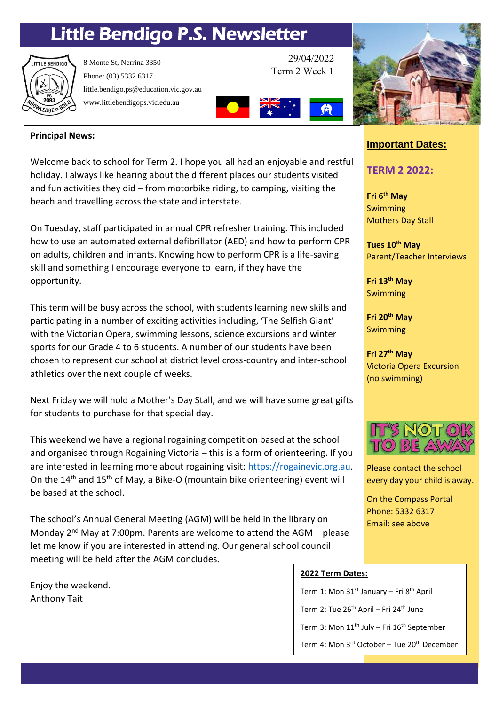# Little Bendigo P.S. Newsletter



8 Monte St, Nerrina 3350 Phone: (03) 5332 6317 little.bendigo.ps@education.vic.gov.au www.littlebendigops.vic.edu.au

29/04/2022 Term 2 Week 1



## **Principal News:**

Welcome back to school for Term 2. I hope you all had an enjoyable and restful holiday. I always like hearing about the different places our students visited and fun activities they did – from motorbike riding, to camping, visiting the beach and travelling across the state and interstate.

On Tuesday, staff participated in annual CPR refresher training. This included how to use an automated external defibrillator (AED) and how to perform CPR on adults, children and infants. Knowing how to perform CPR is a life-saving skill and something I encourage everyone to learn, if they have the opportunity.

This term will be busy across the school, with students learning new skills and participating in a number of exciting activities including, 'The Selfish Giant' with the Victorian Opera, swimming lessons, science excursions and winter sports for our Grade 4 to 6 students. A number of our students have been chosen to represent our school at district level cross-country and inter-school athletics over the next couple of weeks.

Next Friday we will hold a Mother's Day Stall, and we will have some great gifts for students to purchase for that special day.

This weekend we have a regional rogaining competition based at the school and organised through Rogaining Victoria – this is a form of orienteering. If you are interested in learning more about rogaining visit: [https://rogainevic.org.au.](https://rogainevic.org.au/) On the 14<sup>th</sup> and 15<sup>th</sup> of May, a Bike-O (mountain bike orienteering) event will be based at the school.

The school's Annual General Meeting (AGM) will be held in the library on Monday 2nd May at 7:00pm. Parents are welcome to attend the AGM – please let me know if you are interested in attending. Our general school council meeting will be held after the AGM concludes.

Enjoy the weekend. Anthony Tait



# **Important Dates:**

# **TERM 2 2022:**

**Fri 6th May** Swimming Mothers Day Stall

**Tues 10 th May** Parent/Teacher Interviews

**Fri 13th May** Swimming

**Fri 20th May** Swimming

**Fri 27th May** Victoria Opera Excursion (no swimming)



Please contact the school every day your child is away.

On the Compass Portal Phone: 5332 6317 Email: see above

#### **2022 Term Dates:**

Term 1: Mon 31<sup>st</sup> January – Fri 8<sup>th</sup> April

Term 2: Tue 26<sup>th</sup> April – Fri 24<sup>th</sup> June

Term 3: Mon 11<sup>th</sup> July – Fri 16<sup>th</sup> September

Term 4: Mon 3<sup>rd</sup> October - Tue 20<sup>th</sup> December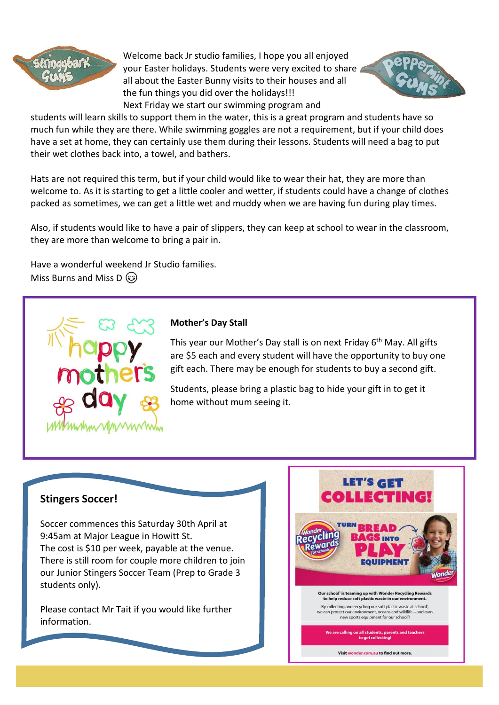

Welcome back Jr studio families, I hope you all enjoyed your Easter holidays. Students were very excited to share all about the Easter Bunny visits to their houses and all the fun things you did over the holidays!!! Next Friday we start our swimming program and



students will learn skills to support them in the water, this is a great program and students have so much fun while they are there. While swimming goggles are not a requirement, but if your child does have a set at home, they can certainly use them during their lessons. Students will need a bag to put their wet clothes back into, a towel, and bathers.

Hats are not required this term, but if your child would like to wear their hat, they are more than welcome to. As it is starting to get a little cooler and wetter, if students could have a change of clothes packed as sometimes, we can get a little wet and muddy when we are having fun during play times.

Also, if students would like to have a pair of slippers, they can keep at school to wear in the classroom, they are more than welcome to bring a pair in.

Have a wonderful weekend Jr Studio families. Miss Burns and Miss D  $\circled{s}$ 



#### **Mother's Day Stall**

This year our Mother's Day stall is on next Friday 6<sup>th</sup> May. All gifts are \$5 each and every student will have the opportunity to buy one gift each. There may be enough for students to buy a second gift.

Students, please bring a plastic bag to hide your gift in to get it home without mum seeing it.

## **Stingers Soccer!**

Soccer commences this Saturday 30th April at 9:45am at Major League in Howitt St. The cost is \$10 per week, payable at the venue. There is still room for couple more children to join our Junior Stingers Soccer Team (Prep to Grade 3 students only).

Please contact Mr Tait if you would like further information.